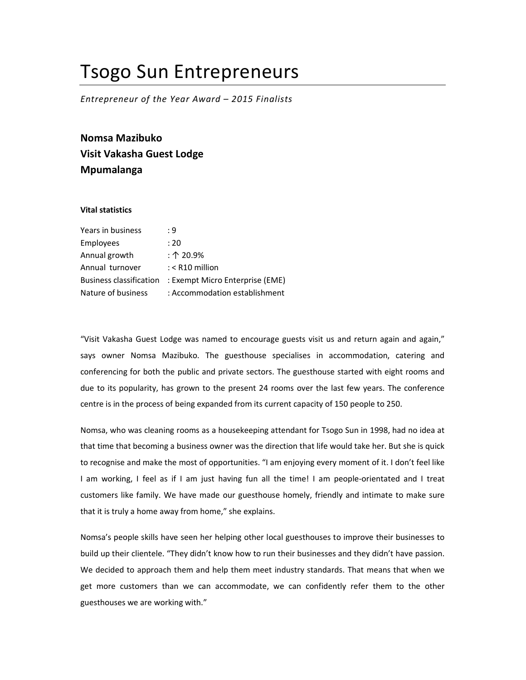## Tsogo Sun Entrepreneurs

Entrepreneur of the Year Award – 2015 Finalists

Nomsa Mazibuko Visit Vakasha Guest Lodge Mpumalanga

## Vital statistics

| : 9                             |
|---------------------------------|
| : 20                            |
| : $\uparrow$ 20.9%              |
| $:$ < R10 million               |
| : Exempt Micro Enterprise (EME) |
| : Accommodation establishment   |
|                                 |

"Visit Vakasha Guest Lodge was named to encourage guests visit us and return again and again," says owner Nomsa Mazibuko. The guesthouse specialises in accommodation, catering and conferencing for both the public and private sectors. The guesthouse started with eight rooms and due to its popularity, has grown to the present 24 rooms over the last few years. The conference centre is in the process of being expanded from its current capacity of 150 people to 250.

Nomsa, who was cleaning rooms as a housekeeping attendant for Tsogo Sun in 1998, had no idea at that time that becoming a business owner was the direction that life would take her. But she is quick to recognise and make the most of opportunities. "I am enjoying every moment of it. I don't feel like I am working, I feel as if I am just having fun all the time! I am people-orientated and I treat customers like family. We have made our guesthouse homely, friendly and intimate to make sure that it is truly a home away from home," she explains.

Nomsa's people skills have seen her helping other local guesthouses to improve their businesses to build up their clientele. "They didn't know how to run their businesses and they didn't have passion. We decided to approach them and help them meet industry standards. That means that when we get more customers than we can accommodate, we can confidently refer them to the other guesthouses we are working with."